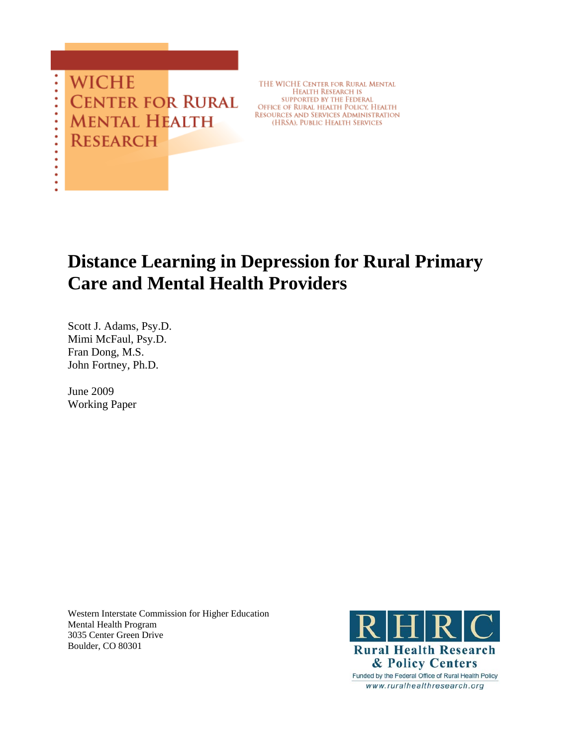**WICHE CENTER FOR RURAL** Mental Health **RESEARCH** 

THE WICHE CENTER FOR RURAL MENTAL **HEALTH RESEARCH IS** SUPPORTED BY THE FEDERAL OFFICE OF RURAL HEALTH POLICY, HEALTH **RESOURCES AND SERVICES ADMINISTRATION** (HRSA), PUBLIC HEALTH SERVICES

# **Distance Learning in Depression for Rural Primary Care and Mental Health Providers**

Scott J. Adams, Psy.D. Mimi McFaul, Psy.D. Fran Dong, M.S. John Fortney, Ph.D.

June 2009 Working Paper

> Western Interstate Commission for Higher Education Mental Health Program 3035 Center Green Drive Boulder, CO 80301

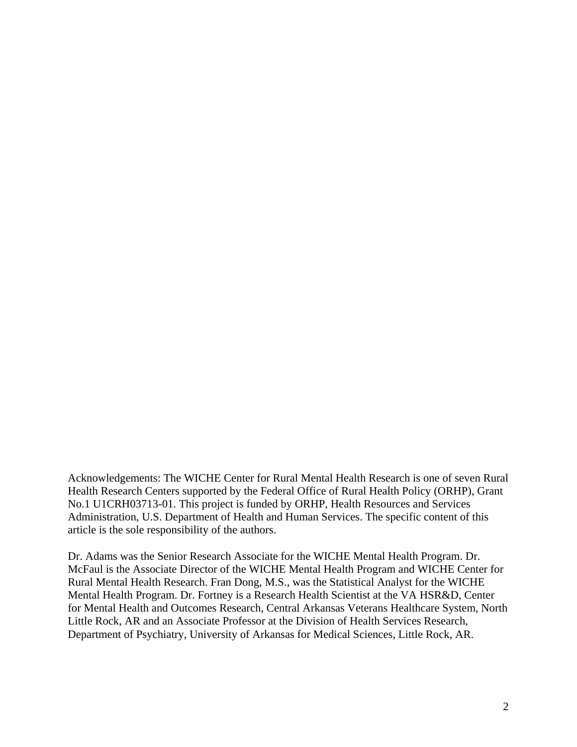Acknowledgements: The WICHE Center for Rural Mental Health Research is one of seven Rural Health Research Centers supported by the Federal Office of Rural Health Policy (ORHP), Grant No.1 U1CRH03713-01. This project is funded by ORHP, Health Resources and Services Administration, U.S. Department of Health and Human Services. The specific content of this article is the sole responsibility of the authors.

Dr. Adams was the Senior Research Associate for the WICHE Mental Health Program. Dr. McFaul is the Associate Director of the WICHE Mental Health Program and WICHE Center for Rural Mental Health Research. Fran Dong, M.S., was the Statistical Analyst for the WICHE Mental Health Program. Dr. Fortney is a Research Health Scientist at the VA HSR&D, Center for Mental Health and Outcomes Research, Central Arkansas Veterans Healthcare System, North Little Rock, AR and an Associate Professor at the Division of Health Services Research, Department of Psychiatry, University of Arkansas for Medical Sciences, Little Rock, AR.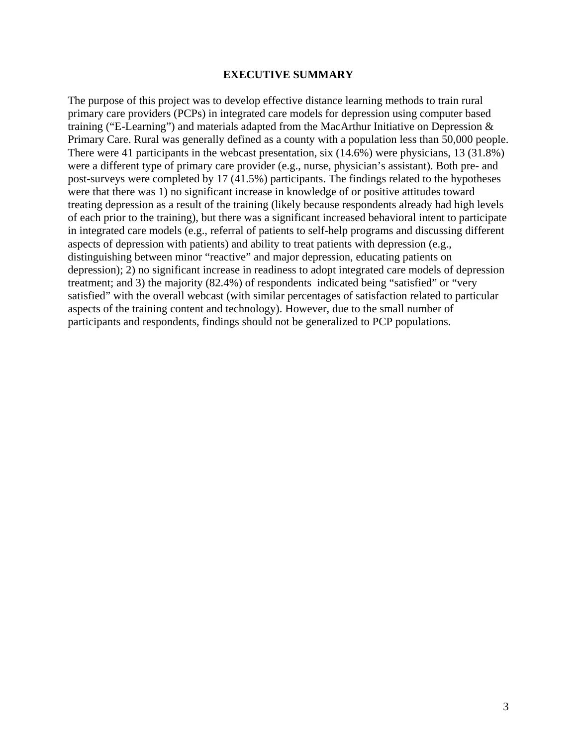# **EXECUTIVE SUMMARY**

The purpose of this project was to develop effective distance learning methods to train rural primary care providers (PCPs) in integrated care models for depression using computer based training ("E-Learning") and materials adapted from the MacArthur Initiative on Depression & Primary Care. Rural was generally defined as a county with a population less than 50,000 people. There were 41 participants in the webcast presentation, six (14.6%) were physicians, 13 (31.8%) were a different type of primary care provider (e.g., nurse, physician's assistant). Both pre- and post-surveys were completed by 17 (41.5%) participants. The findings related to the hypotheses were that there was 1) no significant increase in knowledge of or positive attitudes toward treating depression as a result of the training (likely because respondents already had high levels of each prior to the training), but there was a significant increased behavioral intent to participate in integrated care models (e.g., referral of patients to self-help programs and discussing different aspects of depression with patients) and ability to treat patients with depression (e.g., distinguishing between minor "reactive" and major depression, educating patients on depression); 2) no significant increase in readiness to adopt integrated care models of depression treatment; and 3) the majority (82.4%) of respondents indicated being "satisfied" or "very satisfied" with the overall webcast (with similar percentages of satisfaction related to particular aspects of the training content and technology). However, due to the small number of participants and respondents, findings should not be generalized to PCP populations.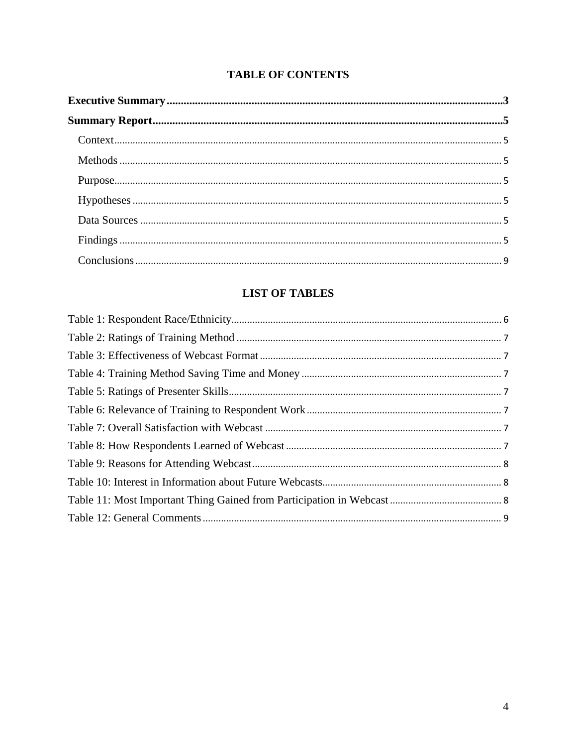# **TABLE OF CONTENTS**

# **LIST OF TABLES**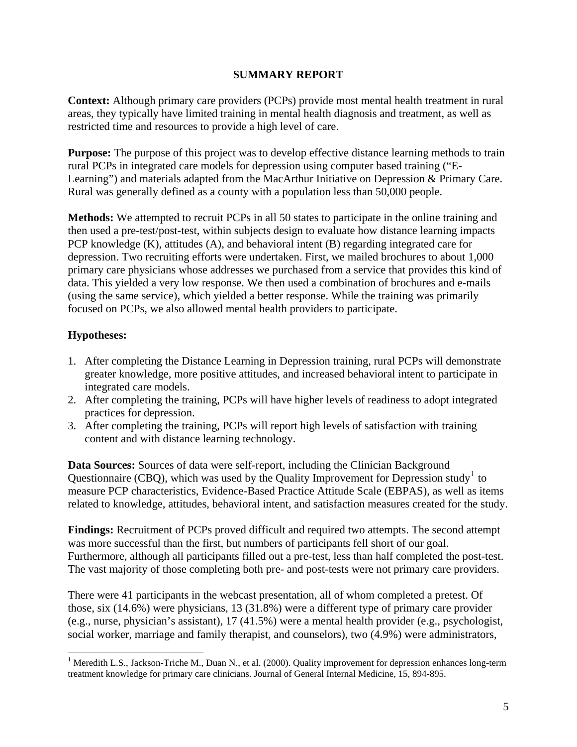# **SUMMARY REPORT**

**Context:** Although primary care providers (PCPs) provide most mental health treatment in rural areas, they typically have limited training in mental health diagnosis and treatment, as well as restricted time and resources to provide a high level of care.

**Purpose:** The purpose of this project was to develop effective distance learning methods to train rural PCPs in integrated care models for depression using computer based training ("E-Learning") and materials adapted from the MacArthur Initiative on Depression & Primary Care. Rural was generally defined as a county with a population less than 50,000 people.

**Methods:** We attempted to recruit PCPs in all 50 states to participate in the online training and then used a pre-test/post-test, within subjects design to evaluate how distance learning impacts PCP knowledge (K), attitudes (A), and behavioral intent (B) regarding integrated care for depression. Two recruiting efforts were undertaken. First, we mailed brochures to about 1,000 primary care physicians whose addresses we purchased from a service that provides this kind of data. This yielded a very low response. We then used a combination of brochures and e-mails (using the same service), which yielded a better response. While the training was primarily focused on PCPs, we also allowed mental health providers to participate.

# **Hypotheses:**

1

- 1. After completing the Distance Learning in Depression training, rural PCPs will demonstrate greater knowledge, more positive attitudes, and increased behavioral intent to participate in integrated care models.
- 2. After completing the training, PCPs will have higher levels of readiness to adopt integrated practices for depression.
- 3. After completing the training, PCPs will report high levels of satisfaction with training content and with distance learning technology.

**Data Sources:** Sources of data were self-report, including the Clinician Background Questionnaire (CBQ), which was used by the Quality Improvement for Depression study<sup>[1](#page-4-0)</sup> to measure PCP characteristics, Evidence-Based Practice Attitude Scale (EBPAS), as well as items related to knowledge, attitudes, behavioral intent, and satisfaction measures created for the study.

**Findings:** Recruitment of PCPs proved difficult and required two attempts. The second attempt was more successful than the first, but numbers of participants fell short of our goal. Furthermore, although all participants filled out a pre-test, less than half completed the post-test. The vast majority of those completing both pre- and post-tests were not primary care providers.

There were 41 participants in the webcast presentation, all of whom completed a pretest. Of those, six (14.6%) were physicians, 13 (31.8%) were a different type of primary care provider (e.g., nurse, physician's assistant), 17 (41.5%) were a mental health provider (e.g., psychologist, social worker, marriage and family therapist, and counselors), two (4.9%) were administrators,

<span id="page-4-0"></span><sup>&</sup>lt;sup>1</sup> Meredith L.S., Jackson-Triche M., Duan N., et al. (2000). Quality improvement for depression enhances long-term treatment knowledge for primary care clinicians. Journal of General Internal Medicine, 15, 894-895.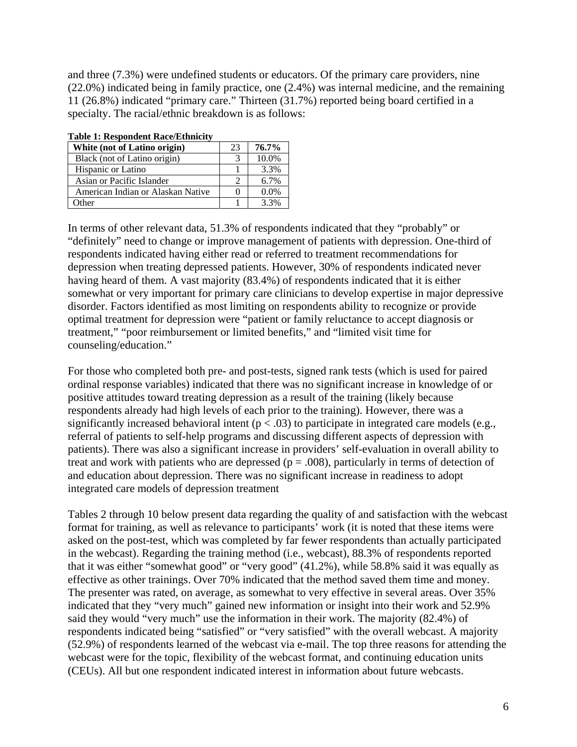and three (7.3%) were undefined students or educators. Of the primary care providers, nine (22.0%) indicated being in family practice, one (2.4%) was internal medicine, and the remaining 11 (26.8%) indicated "primary care." Thirteen (31.7%) reported being board certified in a specialty. The racial/ethnic breakdown is as follows:

| Table 1. Respondent Race/Ethnicity |         |  |  |
|------------------------------------|---------|--|--|
| 23                                 | 76.7%   |  |  |
| 3                                  | 10.0%   |  |  |
|                                    | 3.3%    |  |  |
| ∍                                  | 6.7%    |  |  |
|                                    | $0.0\%$ |  |  |
|                                    | 3.3%    |  |  |
|                                    |         |  |  |

# **Table 1: Respondent Race/Ethnicity**

In terms of other relevant data, 51.3% of respondents indicated that they "probably" or "definitely" need to change or improve management of patients with depression. One-third of respondents indicated having either read or referred to treatment recommendations for depression when treating depressed patients. However, 30% of respondents indicated never having heard of them. A vast majority (83.4%) of respondents indicated that it is either somewhat or very important for primary care clinicians to develop expertise in major depressive disorder. Factors identified as most limiting on respondents ability to recognize or provide optimal treatment for depression were "patient or family reluctance to accept diagnosis or treatment," "poor reimbursement or limited benefits," and "limited visit time for counseling/education."

For those who completed both pre- and post-tests, signed rank tests (which is used for paired ordinal response variables) indicated that there was no significant increase in knowledge of or positive attitudes toward treating depression as a result of the training (likely because respondents already had high levels of each prior to the training). However, there was a significantly increased behavioral intent ( $p < .03$ ) to participate in integrated care models (e.g., referral of patients to self-help programs and discussing different aspects of depression with patients). There was also a significant increase in providers' self-evaluation in overall ability to treat and work with patients who are depressed ( $p = .008$ ), particularly in terms of detection of and education about depression. There was no significant increase in readiness to adopt integrated care models of depression treatment

Tables 2 through 10 below present data regarding the quality of and satisfaction with the webcast format for training, as well as relevance to participants' work (it is noted that these items were asked on the post-test, which was completed by far fewer respondents than actually participated in the webcast). Regarding the training method (i.e., webcast), 88.3% of respondents reported that it was either "somewhat good" or "very good" (41.2%), while 58.8% said it was equally as effective as other trainings. Over 70% indicated that the method saved them time and money. The presenter was rated, on average, as somewhat to very effective in several areas. Over 35% indicated that they "very much" gained new information or insight into their work and 52.9% said they would "very much" use the information in their work. The majority (82.4%) of respondents indicated being "satisfied" or "very satisfied" with the overall webcast. A majority (52.9%) of respondents learned of the webcast via e-mail. The top three reasons for attending the webcast were for the topic, flexibility of the webcast format, and continuing education units (CEUs). All but one respondent indicated interest in information about future webcasts.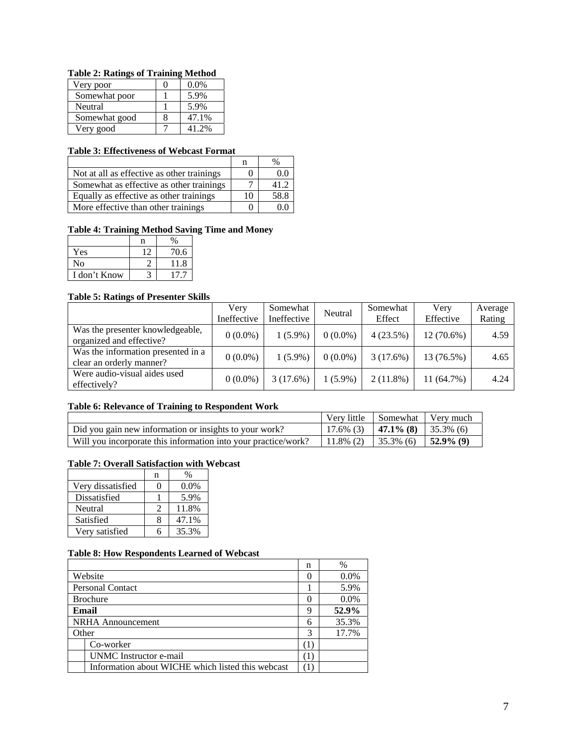#### **Table 2: Ratings of Training Method**

| Very poor     | $0.0\%$ |
|---------------|---------|
| Somewhat poor | 5.9%    |
| Neutral       | 5.9%    |
| Somewhat good | 47.1%   |
| Very good     | 41.2%   |

# **Table 3: Effectiveness of Webcast Format**

|                                            | n  | %    |
|--------------------------------------------|----|------|
| Not at all as effective as other trainings |    | 0.0  |
| Somewhat as effective as other trainings   |    | 41.2 |
| Equally as effective as other trainings    | 10 | 58.8 |
| More effective than other trainings        |    |      |

# **Table 4: Training Method Saving Time and Money**

| Yes          | 70.6 |
|--------------|------|
| No           | 11.8 |
| I don't Know |      |

#### **Table 5: Ratings of Presenter Skills**

|                                                                | Very<br>Ineffective | Somewhat<br>Ineffective | Neutral    | Somewhat<br>Effect | Very<br>Effective | Average<br>Rating |
|----------------------------------------------------------------|---------------------|-------------------------|------------|--------------------|-------------------|-------------------|
| Was the presenter knowledgeable,<br>organized and effective?   | $0(0.0\%)$          | $1(5.9\%)$              | $0(0.0\%)$ | 4(23.5%)           | $12(70.6\%)$      | 4.59              |
| Was the information presented in a<br>clear an orderly manner? | $0(0.0\%)$          | $1(5.9\%)$              | $0(0.0\%)$ | 3(17.6%)           | 13 (76.5%)        | 4.65              |
| Were audio-visual aides used<br>effectively?                   | $0(0.0\%)$          | 3(17.6%)                | $1(5.9\%)$ | 2(11.8%)           | 11(64.7%)         | 4.24              |

# **Table 6: Relevance of Training to Respondent Work**

|                                                                | Very little Somewhat Very much           |  |
|----------------------------------------------------------------|------------------------------------------|--|
| Did you gain new information or insights to your work?         | $\mid$ 17.6% (3)   47.1% (8)   35.3% (6) |  |
| Will you incorporate this information into your practice/work? | 11.8% (2)   35.3% (6)   <b>52.9% (9)</b> |  |

# **Table 7: Overall Satisfaction with Webcast**

|                   | n | ℅       |
|-------------------|---|---------|
| Very dissatisfied |   | $0.0\%$ |
| Dissatisfied      |   | 5.9%    |
| Neutral           |   | 11.8%   |
| Satisfied         |   | 47.1%   |
| Very satisfied    |   | 35.3%   |

#### **Table 8: How Respondents Learned of Webcast**

|                                                   | n        | %       |
|---------------------------------------------------|----------|---------|
| Website                                           | $\theta$ | $0.0\%$ |
| <b>Personal Contact</b>                           |          | 5.9%    |
| <b>Brochure</b>                                   | $\theta$ | 0.0%    |
| Email                                             | 9        | 52.9%   |
| <b>NRHA</b> Announcement                          | 6        | 35.3%   |
| Other                                             | 3        | 17.7%   |
| Co-worker                                         | (1)      |         |
| UNMC Instructor e-mail                            | T        |         |
| Information about WICHE which listed this webcast | 1        |         |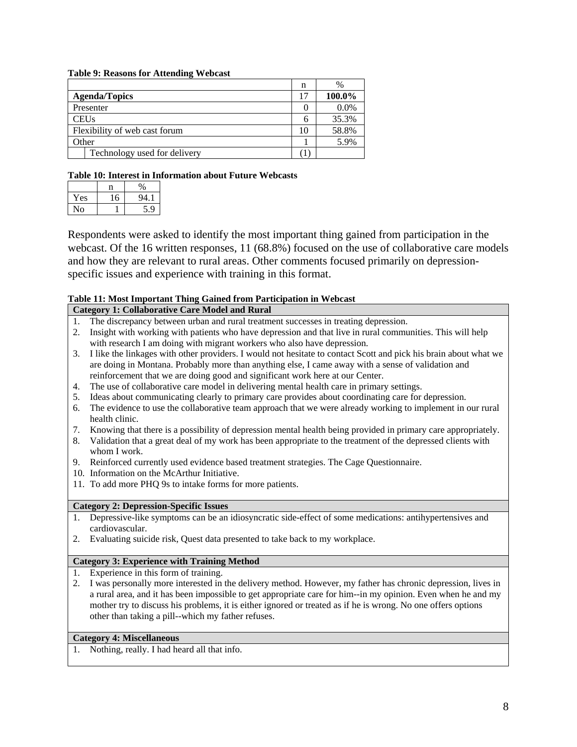#### **Table 9: Reasons for Attending Webcast**

|                               | n  | $\%$   |
|-------------------------------|----|--------|
| <b>Agenda/Topics</b>          | 17 | 100.0% |
| Presenter                     |    | 0.0%   |
| <b>CEUs</b>                   | h  | 35.3%  |
| Flexibility of web cast forum | 10 | 58.8%  |
| Other                         |    | 5.9%   |
| Technology used for delivery  |    |        |

#### **Table 10: Interest in Information about Future Webcasts**

| Yes | 16 | QΔ |
|-----|----|----|
| N٥  |    | 9  |

Respondents were asked to identify the most important thing gained from participation in the webcast. Of the 16 written responses, 11 (68.8%) focused on the use of collaborative care models and how they are relevant to rural areas. Other comments focused primarily on depressionspecific issues and experience with training in this format.

# **Table 11: Most Important Thing Gained from Participation in Webcast**

#### **Category 1: Collaborative Care Model and Rural**  1. The discrepancy between urban and rural treatment successes in treating depression.

- 2. Insight with working with patients who have depression and that live in rural communities. This will help
- with research I am doing with migrant workers who also have depression.
- 3. I like the linkages with other providers. I would not hesitate to contact Scott and pick his brain about what we are doing in Montana. Probably more than anything else, I came away with a sense of validation and reinforcement that we are doing good and significant work here at our Center.
- 4. The use of collaborative care model in delivering mental health care in primary settings.
- 5. Ideas about communicating clearly to primary care provides about coordinating care for depression.
- 6. The evidence to use the collaborative team approach that we were already working to implement in our rural health clinic.
- 7. Knowing that there is a possibility of depression mental health being provided in primary care appropriately.
- 8. Validation that a great deal of my work has been appropriate to the treatment of the depressed clients with whom I work.
- 9. Reinforced currently used evidence based treatment strategies. The Cage Questionnaire.
- 10. Information on the McArthur Initiative.
- 11. To add more PHQ 9s to intake forms for more patients.

# **Category 2: Depression-Specific Issues**

- 1. Depressive-like symptoms can be an idiosyncratic side-effect of some medications: antihypertensives and cardiovascular.
- 2. Evaluating suicide risk, Quest data presented to take back to my workplace.

#### **Category 3: Experience with Training Method**

- 1. Experience in this form of training.
- 2. I was personally more interested in the delivery method. However, my father has chronic depression, lives in a rural area, and it has been impossible to get appropriate care for him--in my opinion. Even when he and my mother try to discuss his problems, it is either ignored or treated as if he is wrong. No one offers options other than taking a pill--which my father refuses.

# **Category 4: Miscellaneous**

1. Nothing, really. I had heard all that info.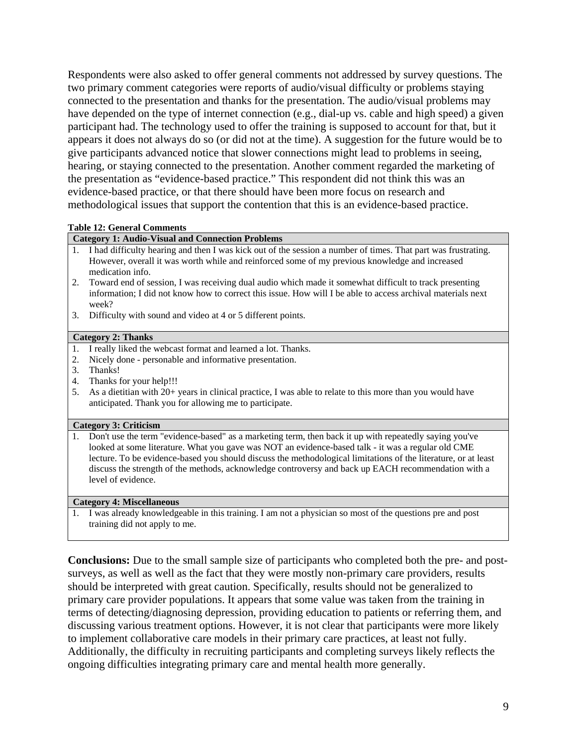Respondents were also asked to offer general comments not addressed by survey questions. The two primary comment categories were reports of audio/visual difficulty or problems staying connected to the presentation and thanks for the presentation. The audio/visual problems may have depended on the type of internet connection (e.g., dial-up vs. cable and high speed) a given participant had. The technology used to offer the training is supposed to account for that, but it appears it does not always do so (or did not at the time). A suggestion for the future would be to give participants advanced notice that slower connections might lead to problems in seeing, hearing, or staying connected to the presentation. Another comment regarded the marketing of the presentation as "evidence-based practice." This respondent did not think this was an evidence-based practice, or that there should have been more focus on research and methodological issues that support the contention that this is an evidence-based practice.

# **Table 12: General Comments**

# **Category 1: Audio-Visual and Connection Problems**

- 1. I had difficulty hearing and then I was kick out of the session a number of times. That part was frustrating. However, overall it was worth while and reinforced some of my previous knowledge and increased medication info.
- 2. Toward end of session, I was receiving dual audio which made it somewhat difficult to track presenting information; I did not know how to correct this issue. How will I be able to access archival materials next week?
- 3. Difficulty with sound and video at 4 or 5 different points.

#### **Category 2: Thanks**

- 1. I really liked the webcast format and learned a lot. Thanks.
- 2. Nicely done personable and informative presentation.
- 3. Thanks!
- 4. Thanks for your help!!!
- 5. As a dietitian with 20+ years in clinical practice, I was able to relate to this more than you would have anticipated. Thank you for allowing me to participate.

#### **Category 3: Criticism**

1. Don't use the term "evidence-based" as a marketing term, then back it up with repeatedly saying you've looked at some literature. What you gave was NOT an evidence-based talk - it was a regular old CME lecture. To be evidence-based you should discuss the methodological limitations of the literature, or at least discuss the strength of the methods, acknowledge controversy and back up EACH recommendation with a level of evidence.

#### **Category 4: Miscellaneous**

1. I was already knowledgeable in this training. I am not a physician so most of the questions pre and post training did not apply to me.

**Conclusions:** Due to the small sample size of participants who completed both the pre- and postsurveys, as well as well as the fact that they were mostly non-primary care providers, results should be interpreted with great caution. Specifically, results should not be generalized to primary care provider populations. It appears that some value was taken from the training in terms of detecting/diagnosing depression, providing education to patients or referring them, and discussing various treatment options. However, it is not clear that participants were more likely to implement collaborative care models in their primary care practices, at least not fully. Additionally, the difficulty in recruiting participants and completing surveys likely reflects the ongoing difficulties integrating primary care and mental health more generally.